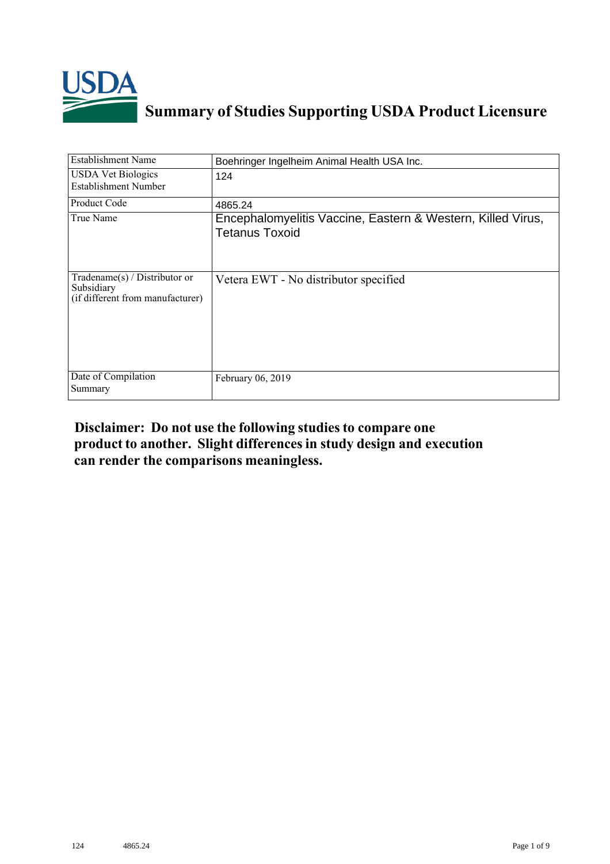

## **Summary of Studies Supporting USDA Product Licensure**

| <b>Establishment Name</b>                                                          | Boehringer Ingelheim Animal Health USA Inc.                                          |
|------------------------------------------------------------------------------------|--------------------------------------------------------------------------------------|
| <b>USDA Vet Biologics</b><br>Establishment Number                                  | 124                                                                                  |
| Product Code                                                                       | 4865.24                                                                              |
| True Name                                                                          | Encephalomyelitis Vaccine, Eastern & Western, Killed Virus,<br><b>Tetanus Toxoid</b> |
| Tradename $(s)$ / Distributor or<br>Subsidiary<br>(if different from manufacturer) | Vetera EWT - No distributor specified                                                |
| Date of Compilation<br>Summary                                                     | February 06, 2019                                                                    |

## **Disclaimer: Do not use the following studiesto compare one product to another. Slight differencesin study design and execution can render the comparisons meaningless.**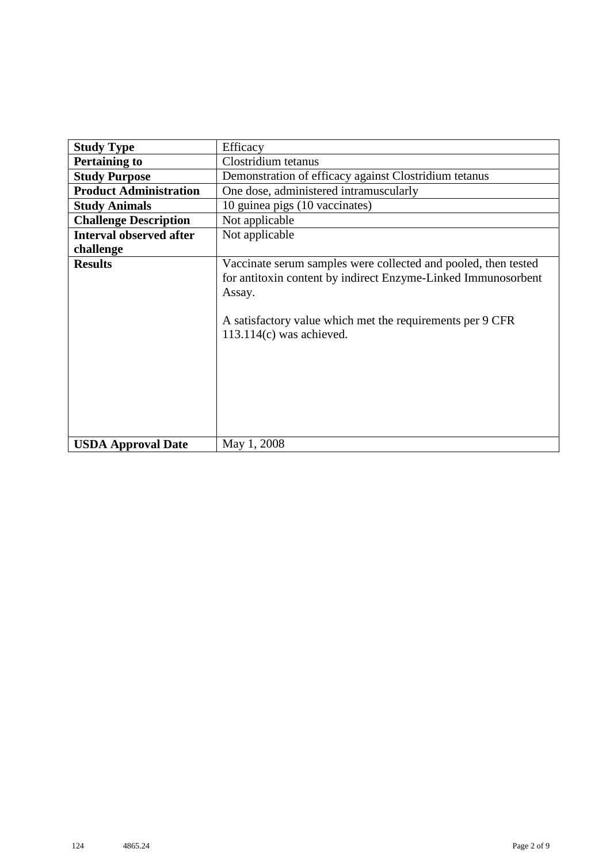| <b>Study Type</b>              | Efficacy                                                                                                                                                                                                                             |  |  |  |  |  |
|--------------------------------|--------------------------------------------------------------------------------------------------------------------------------------------------------------------------------------------------------------------------------------|--|--|--|--|--|
| <b>Pertaining to</b>           | Clostridium tetanus                                                                                                                                                                                                                  |  |  |  |  |  |
| <b>Study Purpose</b>           | Demonstration of efficacy against Clostridium tetanus                                                                                                                                                                                |  |  |  |  |  |
| <b>Product Administration</b>  | One dose, administered intramuscularly                                                                                                                                                                                               |  |  |  |  |  |
| <b>Study Animals</b>           | 10 guinea pigs (10 vaccinates)                                                                                                                                                                                                       |  |  |  |  |  |
| <b>Challenge Description</b>   | Not applicable                                                                                                                                                                                                                       |  |  |  |  |  |
| <b>Interval observed after</b> | Not applicable                                                                                                                                                                                                                       |  |  |  |  |  |
| challenge                      |                                                                                                                                                                                                                                      |  |  |  |  |  |
| <b>Results</b>                 | Vaccinate serum samples were collected and pooled, then tested<br>for antitoxin content by indirect Enzyme-Linked Immunosorbent<br>Assay.<br>A satisfactory value which met the requirements per 9 CFR<br>$113.114(c)$ was achieved. |  |  |  |  |  |
| <b>USDA Approval Date</b>      | May 1, 2008                                                                                                                                                                                                                          |  |  |  |  |  |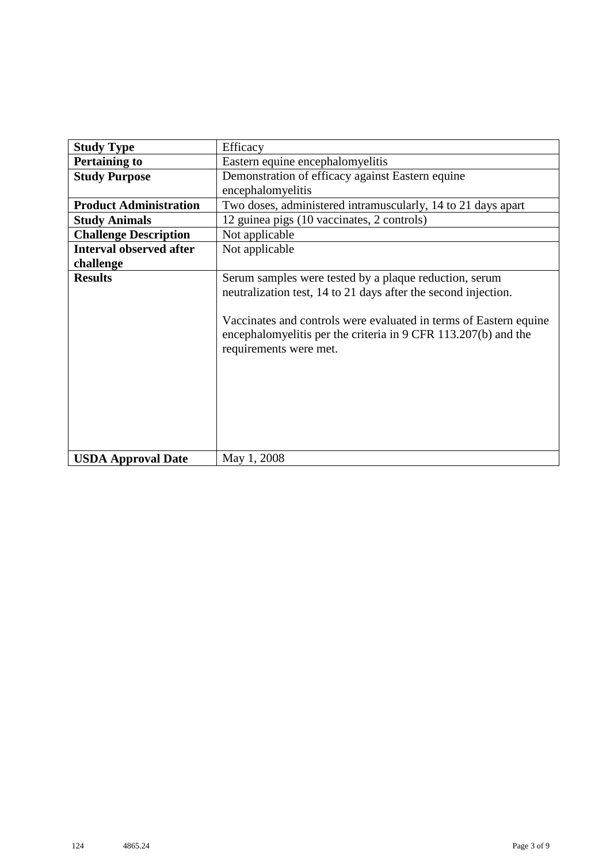| <b>Study Type</b>              | Efficacy                                                                                                                                                                                                                                                                                  |  |  |  |
|--------------------------------|-------------------------------------------------------------------------------------------------------------------------------------------------------------------------------------------------------------------------------------------------------------------------------------------|--|--|--|
| <b>Pertaining to</b>           | Eastern equine encephalomyelitis                                                                                                                                                                                                                                                          |  |  |  |
| <b>Study Purpose</b>           | Demonstration of efficacy against Eastern equine                                                                                                                                                                                                                                          |  |  |  |
|                                | encephalomyelitis                                                                                                                                                                                                                                                                         |  |  |  |
| <b>Product Administration</b>  | Two doses, administered intramuscularly, 14 to 21 days apart                                                                                                                                                                                                                              |  |  |  |
| <b>Study Animals</b>           | 12 guinea pigs (10 vaccinates, 2 controls)                                                                                                                                                                                                                                                |  |  |  |
| <b>Challenge Description</b>   | Not applicable                                                                                                                                                                                                                                                                            |  |  |  |
| <b>Interval observed after</b> | Not applicable                                                                                                                                                                                                                                                                            |  |  |  |
| challenge                      |                                                                                                                                                                                                                                                                                           |  |  |  |
| <b>Results</b>                 | Serum samples were tested by a plaque reduction, serum<br>neutralization test, 14 to 21 days after the second injection.<br>Vaccinates and controls were evaluated in terms of Eastern equine<br>encephalomyelitis per the criteria in 9 CFR 113.207(b) and the<br>requirements were met. |  |  |  |
| <b>USDA Approval Date</b>      | May 1, 2008                                                                                                                                                                                                                                                                               |  |  |  |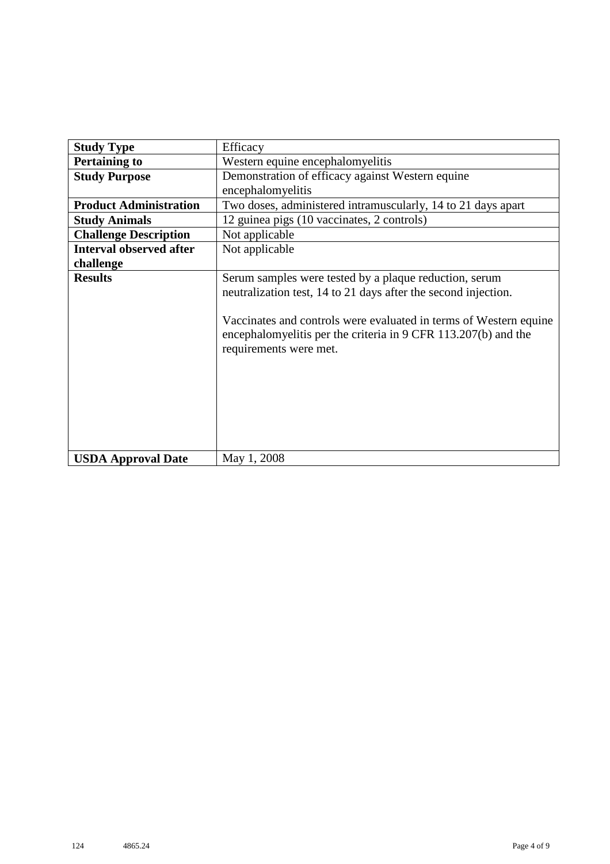| <b>Study Type</b>              | Efficacy                                                                                                                                                                                                                                                                                  |  |  |  |
|--------------------------------|-------------------------------------------------------------------------------------------------------------------------------------------------------------------------------------------------------------------------------------------------------------------------------------------|--|--|--|
| <b>Pertaining to</b>           | Western equine encephalomyelitis                                                                                                                                                                                                                                                          |  |  |  |
| <b>Study Purpose</b>           | Demonstration of efficacy against Western equine                                                                                                                                                                                                                                          |  |  |  |
|                                | encephalomyelitis                                                                                                                                                                                                                                                                         |  |  |  |
| <b>Product Administration</b>  | Two doses, administered intramuscularly, 14 to 21 days apart                                                                                                                                                                                                                              |  |  |  |
| <b>Study Animals</b>           | 12 guinea pigs (10 vaccinates, 2 controls)                                                                                                                                                                                                                                                |  |  |  |
| <b>Challenge Description</b>   | Not applicable                                                                                                                                                                                                                                                                            |  |  |  |
| <b>Interval observed after</b> | Not applicable                                                                                                                                                                                                                                                                            |  |  |  |
| challenge                      |                                                                                                                                                                                                                                                                                           |  |  |  |
| <b>Results</b>                 | Serum samples were tested by a plaque reduction, serum<br>neutralization test, 14 to 21 days after the second injection.<br>Vaccinates and controls were evaluated in terms of Western equine<br>encephalomyelitis per the criteria in 9 CFR 113.207(b) and the<br>requirements were met. |  |  |  |
| <b>USDA Approval Date</b>      | May 1, 2008                                                                                                                                                                                                                                                                               |  |  |  |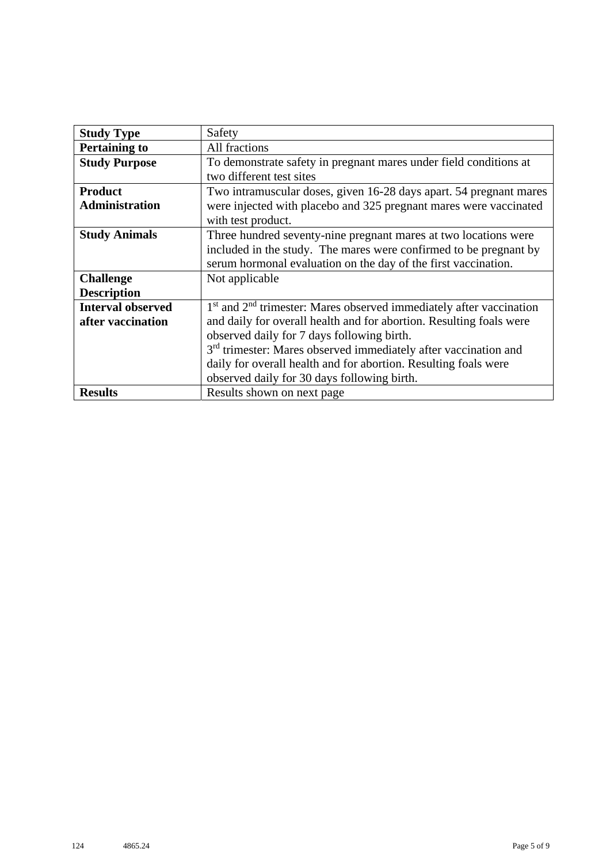| <b>Study Type</b>        | Safety                                                                      |
|--------------------------|-----------------------------------------------------------------------------|
| <b>Pertaining to</b>     | All fractions                                                               |
| <b>Study Purpose</b>     | To demonstrate safety in pregnant mares under field conditions at           |
|                          | two different test sites                                                    |
| <b>Product</b>           | Two intramuscular doses, given 16-28 days apart. 54 pregnant mares          |
| <b>Administration</b>    | were injected with placebo and 325 pregnant mares were vaccinated           |
|                          | with test product.                                                          |
| <b>Study Animals</b>     | Three hundred seventy-nine pregnant mares at two locations were             |
|                          | included in the study. The mares were confirmed to be pregnant by           |
|                          | serum hormonal evaluation on the day of the first vaccination.              |
| <b>Challenge</b>         | Not applicable                                                              |
| <b>Description</b>       |                                                                             |
| <b>Interval observed</b> | $1st$ and $2nd$ trimester: Mares observed immediately after vaccination     |
| after vaccination        | and daily for overall health and for abortion. Resulting foals were         |
|                          | observed daily for 7 days following birth.                                  |
|                          | 3 <sup>rd</sup> trimester: Mares observed immediately after vaccination and |
|                          | daily for overall health and for abortion. Resulting foals were             |
|                          | observed daily for 30 days following birth.                                 |
| <b>Results</b>           | Results shown on next page                                                  |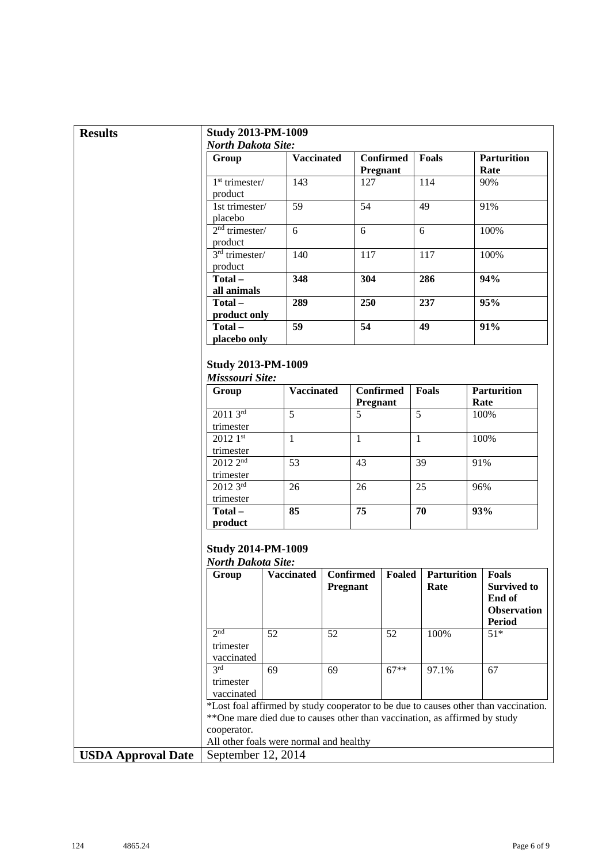| <b>Results</b>            | <b>Study 2013-PM-1009</b>                              |                                                                             |          |                              |                              |                            |                                                                                     |
|---------------------------|--------------------------------------------------------|-----------------------------------------------------------------------------|----------|------------------------------|------------------------------|----------------------------|-------------------------------------------------------------------------------------|
|                           | <b>North Dakota Site:</b>                              |                                                                             |          |                              |                              |                            |                                                                                     |
|                           | Group                                                  | <b>Vaccinated</b>                                                           |          |                              | <b>Confirmed</b><br>Pregnant | Foals                      | <b>Parturition</b><br>Rate                                                          |
|                           | $1st$ trimester/<br>product                            | 143                                                                         |          | 127                          |                              | 114                        | 90%                                                                                 |
|                           | 1st trimester/<br>placebo                              | 59                                                                          |          | 54                           |                              | 49                         | 91%                                                                                 |
|                           | $2nd$ trimester/<br>product                            | 6                                                                           |          | 6                            |                              | 6                          | 100%                                                                                |
|                           | $3rd$ trimester/<br>product                            | 140                                                                         |          | 117                          |                              | 117                        | 100%                                                                                |
|                           | Total-<br>all animals                                  | 348                                                                         |          | 304                          |                              | 286                        | 94%                                                                                 |
|                           | Total-                                                 | 289                                                                         |          | 250                          |                              | 237                        | 95%                                                                                 |
|                           | product only<br>Total-                                 | 59                                                                          |          | 54                           |                              | 49                         | 91%                                                                                 |
|                           | placebo only                                           |                                                                             |          |                              |                              |                            |                                                                                     |
|                           | <b>Study 2013-PM-1009</b><br>Misssouri Site:           |                                                                             |          |                              |                              |                            |                                                                                     |
|                           | Group                                                  | <b>Vaccinated</b>                                                           |          | <b>Confirmed</b><br>Pregnant |                              | <b>Foals</b>               | <b>Parturition</b><br>Rate                                                          |
|                           | $20113^{rd}$<br>trimester                              | 5                                                                           |          | 5                            |                              | 5                          | 100%                                                                                |
|                           | $20121$ st<br>trimester                                | $\mathbf{1}$                                                                |          | $\mathbf{1}$                 |                              | $\mathbf{1}$               | 100%                                                                                |
|                           | 2012 2 <sup>nd</sup><br>trimester                      | $\overline{53}$                                                             |          | 43                           |                              | 39                         | 91%                                                                                 |
|                           | 2012 3rd                                               | 26                                                                          |          | 26                           |                              | 25                         | 96%                                                                                 |
|                           | trimester<br>Total-<br>product                         | 85                                                                          |          | 75                           |                              | 70                         | 93%                                                                                 |
|                           | <b>Study 2014-PM-1009</b><br><b>North Dakota Site:</b> |                                                                             |          |                              |                              |                            |                                                                                     |
|                           | Group                                                  | <b>Vaccinated</b>                                                           | Pregnant | <b>Confirmed</b>             | Foaled                       | <b>Parturition</b><br>Rate | <b>Foals</b><br><b>Survived to</b><br>End of<br><b>Observation</b><br>Period        |
|                           | 2 <sub>nd</sub><br>trimester                           | 52                                                                          | 52       |                              | 52                           | 100%                       | $51*$                                                                               |
|                           | vaccinated<br>3rd<br>trimester<br>vaccinated           | 69                                                                          | 69       |                              | $67**$                       | 97.1%                      | 67                                                                                  |
|                           | cooperator.                                            | ** One mare died due to causes other than vaccination, as affirmed by study |          |                              |                              |                            | *Lost foal affirmed by study cooperator to be due to causes other than vaccination. |
|                           |                                                        | All other foals were normal and healthy                                     |          |                              |                              |                            |                                                                                     |
| <b>USDA Approval Date</b> | September 12, 2014                                     |                                                                             |          |                              |                              |                            |                                                                                     |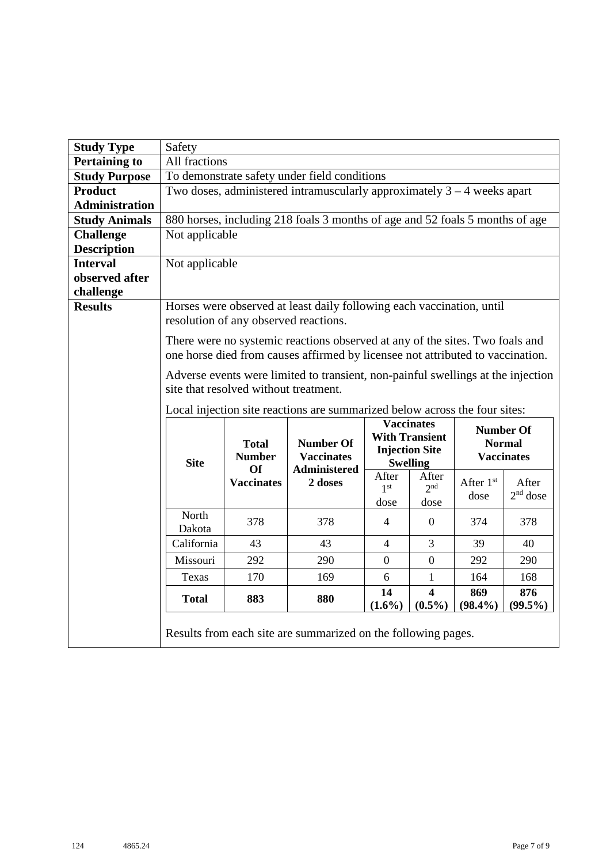| <b>Study Type</b>           | Safety                                                                                                                    |                                                                                                                |                                                                            |                                  |                                                                                        |                   |                                                        |
|-----------------------------|---------------------------------------------------------------------------------------------------------------------------|----------------------------------------------------------------------------------------------------------------|----------------------------------------------------------------------------|----------------------------------|----------------------------------------------------------------------------------------|-------------------|--------------------------------------------------------|
| <b>Pertaining to</b>        | All fractions                                                                                                             |                                                                                                                |                                                                            |                                  |                                                                                        |                   |                                                        |
| <b>Study Purpose</b>        |                                                                                                                           |                                                                                                                | To demonstrate safety under field conditions                               |                                  |                                                                                        |                   |                                                        |
| <b>Product</b>              |                                                                                                                           |                                                                                                                | Two doses, administered intramuscularly approximately $3 - 4$ weeks apart  |                                  |                                                                                        |                   |                                                        |
| <b>Administration</b>       |                                                                                                                           |                                                                                                                |                                                                            |                                  |                                                                                        |                   |                                                        |
| <b>Study Animals</b>        |                                                                                                                           | 880 horses, including 218 foals 3 months of age and 52 foals 5 months of age                                   |                                                                            |                                  |                                                                                        |                   |                                                        |
| <b>Challenge</b>            | Not applicable                                                                                                            |                                                                                                                |                                                                            |                                  |                                                                                        |                   |                                                        |
| <b>Description</b>          |                                                                                                                           |                                                                                                                |                                                                            |                                  |                                                                                        |                   |                                                        |
| <b>Interval</b>             | Not applicable                                                                                                            |                                                                                                                |                                                                            |                                  |                                                                                        |                   |                                                        |
| observed after<br>challenge |                                                                                                                           |                                                                                                                |                                                                            |                                  |                                                                                        |                   |                                                        |
| <b>Results</b>              |                                                                                                                           | Horses were observed at least daily following each vaccination, until<br>resolution of any observed reactions. |                                                                            |                                  |                                                                                        |                   |                                                        |
|                             |                                                                                                                           | There were no systemic reactions observed at any of the sites. Two foals and                                   |                                                                            |                                  |                                                                                        |                   |                                                        |
|                             | one horse died from causes affirmed by licensee not attributed to vaccination.                                            |                                                                                                                |                                                                            |                                  |                                                                                        |                   |                                                        |
|                             | Adverse events were limited to transient, non-painful swellings at the injection<br>site that resolved without treatment. |                                                                                                                |                                                                            |                                  |                                                                                        |                   |                                                        |
|                             |                                                                                                                           |                                                                                                                | Local injection site reactions are summarized below across the four sites: |                                  |                                                                                        |                   |                                                        |
|                             | <b>Site</b>                                                                                                               | <b>Total</b><br><b>Number</b><br>Of                                                                            | <b>Number Of</b><br><b>Vaccinates</b><br>Administered                      |                                  | <b>Vaccinates</b><br><b>With Transient</b><br><b>Injection Site</b><br><b>Swelling</b> |                   | <b>Number Of</b><br><b>Normal</b><br><b>Vaccinates</b> |
|                             |                                                                                                                           | <b>Vaccinates</b>                                                                                              | 2 doses                                                                    | After<br>1 <sup>st</sup><br>dose | After<br>2 <sub>nd</sub><br>dose                                                       | After 1st<br>dose | After<br>$2nd$ dose                                    |
|                             | North<br>Dakota                                                                                                           | 378                                                                                                            | 378                                                                        | $\overline{4}$                   | $\overline{0}$                                                                         | 374               | 378                                                    |
|                             | California                                                                                                                | 43                                                                                                             | 43                                                                         | 4                                | 3                                                                                      | 39                | 40                                                     |
|                             | Missouri                                                                                                                  | 292                                                                                                            | 290                                                                        | $\boldsymbol{0}$                 | $\boldsymbol{0}$                                                                       | 292               | 290                                                    |
|                             | Texas                                                                                                                     | 170                                                                                                            | 169                                                                        | 6                                | 1                                                                                      | 164               | 168                                                    |
|                             | <b>Total</b>                                                                                                              | 883                                                                                                            | 880                                                                        | 14<br>$(1.6\%)$                  | $\overline{\mathbf{4}}$<br>$(0.5\%)$                                                   | 869<br>$(98.4\%)$ | 876<br>$(99.5\%)$                                      |
|                             |                                                                                                                           |                                                                                                                | Results from each site are summarized on the following pages.              |                                  |                                                                                        |                   |                                                        |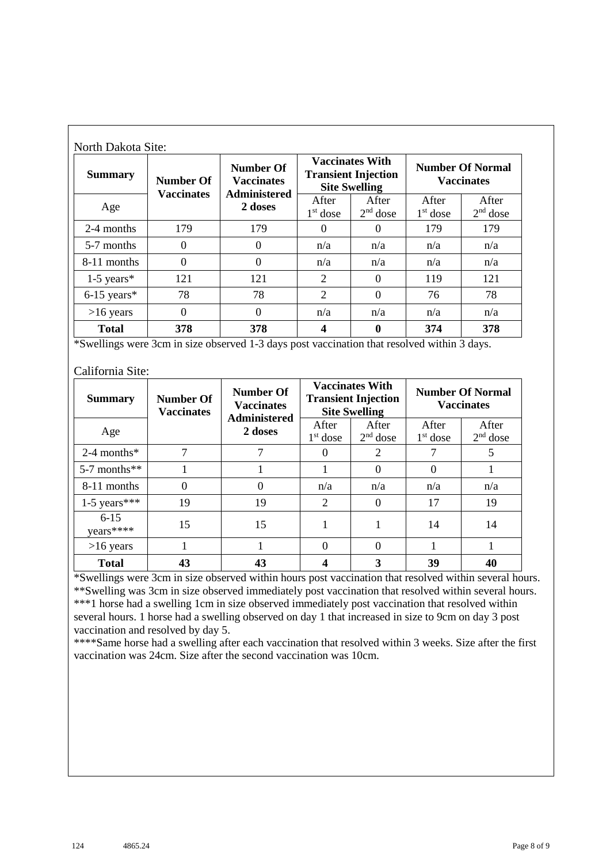| <b>Summary</b> | <b>Number Of</b><br><b>Vaccinates</b> | <b>Number Of</b><br><b>Vaccinates</b><br><b>Administered</b> |                     | <b>Vaccinates With</b><br><b>Transient Injection</b><br><b>Site Swelling</b> |                     | <b>Number Of Normal</b><br><b>Vaccinates</b> |
|----------------|---------------------------------------|--------------------------------------------------------------|---------------------|------------------------------------------------------------------------------|---------------------|----------------------------------------------|
| Age            |                                       | 2 doses                                                      | After<br>$1st$ dose | After<br>$2nd$ dose                                                          | After<br>$1st$ dose | After<br>$2nd$ dose                          |
| 2-4 months     | 179                                   | 179                                                          | $\Omega$            | 0                                                                            | 179                 | 179                                          |
| 5-7 months     | 0                                     | $\boldsymbol{0}$                                             | n/a                 | n/a                                                                          | n/a                 | n/a                                          |
| 8-11 months    | $\theta$                              | $\boldsymbol{0}$                                             | n/a                 | n/a                                                                          | n/a                 | n/a                                          |
| $1-5$ years*   | 121                                   | 121                                                          | 2                   | $\Omega$                                                                     | 119                 | 121                                          |
| $6-15$ years*  | 78                                    | 78                                                           | 2                   | 0                                                                            | 76                  | 78                                           |
| $>16$ years    | $\theta$                              | $\theta$                                                     | n/a                 | n/a                                                                          | n/a                 | n/a                                          |
| <b>Total</b>   | 378                                   | 378                                                          | 4                   | 0                                                                            | 374                 | 378                                          |

\*Swellings were 3cm in size observed 1-3 days post vaccination that resolved within 3 days.

## California Site:

| <b>Summary</b>        | <b>Number Of</b><br><b>Vaccinates</b> | Number Of<br><b>Vaccinates</b><br><b>Administered</b> |                     | <b>Vaccinates With</b><br><b>Transient Injection</b><br><b>Site Swelling</b> |                     | <b>Number Of Normal</b><br><b>Vaccinates</b> |
|-----------------------|---------------------------------------|-------------------------------------------------------|---------------------|------------------------------------------------------------------------------|---------------------|----------------------------------------------|
| Age                   |                                       | 2 doses                                               | After<br>$1st$ dose | After<br>$2nd$ dose                                                          | After<br>$1st$ dose | After<br>$2nd$ dose                          |
| $2-4$ months*         | 7                                     |                                                       | $\theta$            | 2                                                                            |                     | 5                                            |
| $5-7$ months**        |                                       |                                                       |                     | $\Omega$                                                                     | $\theta$            |                                              |
| 8-11 months           | $\Omega$                              | 0                                                     | n/a                 | n/a                                                                          | n/a                 | n/a                                          |
| $1-5$ years***        | 19                                    | 19                                                    | $\overline{2}$      | $\Omega$                                                                     | 17                  | 19                                           |
| $6 - 15$<br>years**** | 15                                    | 15                                                    |                     |                                                                              | 14                  | 14                                           |
| $>16$ years           |                                       |                                                       | 0                   | $\Omega$                                                                     |                     |                                              |
| <b>Total</b>          | 43                                    | 43                                                    |                     | 3                                                                            | 39                  | 40                                           |

\*Swellings were 3cm in size observed within hours post vaccination that resolved within several hours. \*\*Swelling was 3cm in size observed immediately post vaccination that resolved within several hours. \*\*\*1 horse had a swelling 1cm in size observed immediately post vaccination that resolved within several hours. 1 horse had a swelling observed on day 1 that increased in size to 9cm on day 3 post vaccination and resolved by day 5.

\*\*\*\*Same horse had a swelling after each vaccination that resolved within 3 weeks. Size after the first vaccination was 24cm. Size after the second vaccination was 10cm.